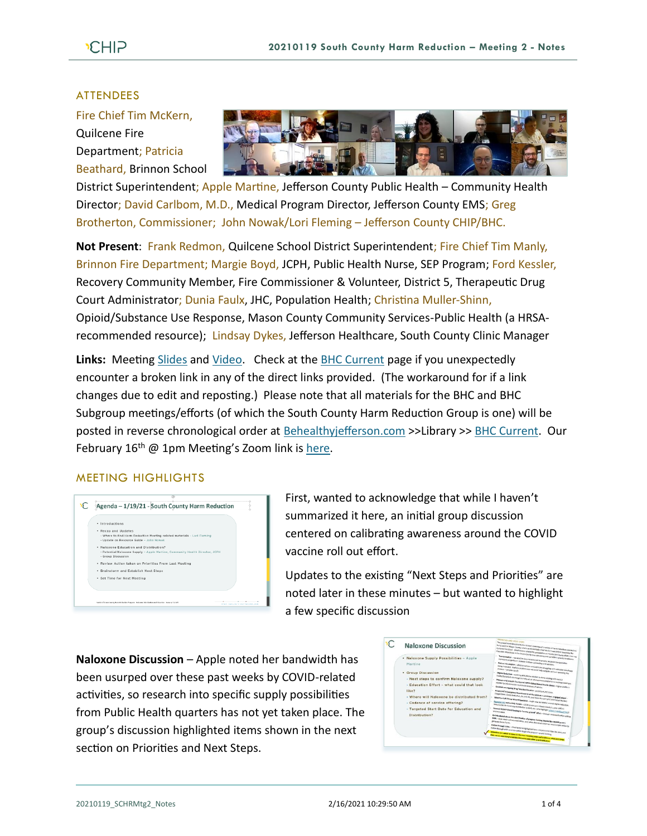## ATTENDEES

Fire Chief Tim McKern,

Quilcene Fire Department; Patricia Beathard, Brinnon School



District Superintendent; Apple Martine, Jefferson County Public Health – Community Health Director; David Carlbom, M.D., Medical Program Director, Jefferson County EMS; Greg Brotherton, Commissioner; John Nowak/Lori Fleming – Jefferson County CHIP/BHC.

**Not Present**: Frank Redmon, Quilcene School District Superintendent; Fire Chief Tim Manly, Brinnon Fire Department; Margie Boyd, JCPH, Public Health Nurse, SEP Program; Ford Kessler, Recovery Community Member, Fire Commissioner & Volunteer, District 5, Therapeutic Drug Court Administrator; Dunia Faulx, JHC, Population Health; Christina Muller-Shinn, Opioid/Substance Use Response, Mason County Community Services-Public Health (a HRSArecommended resource); Lindsay Dykes, Jefferson Healthcare, South County Clinic Manager

**Links:** Meeting [Slides](https://793b0af6-bf22-4c2c-91c8-8cc6fd2f172d.filesusr.com/ugd/2fdcdd_c2939e23dea44d0aa79957280976592c.pdf) and [Video.](https://www.youtube.com/watch?v=t3B28xRLpcc&feature=youtu.be) Check at the [BHC Current](https://www.behealthyjefferson.com/bhc-current) page if you unexpectedly encounter a broken link in any of the direct links provided. (The workaround for if a link changes due to edit and reposting.) Please note that all materials for the BHC and BHC Subgroup meetings/efforts (of which the South County Harm Reduction Group is one) will be posted in reverse chronological order at [Behealthyjefferson.com](https://www.behealthyjefferson.com/) >>Library >> [BHC Current.](https://www.behealthyjefferson.com/bhc-current) Our February  $16<sup>th</sup>$  @ 1pm Meeting's Zoom link is [here.](https://zoom.us/j/97645487707?pwd=eDhHL3ZUMkszcFArQzIyZ2lXbEExdz09)

## MEETING HIGHLIGHTS



First, wanted to acknowledge that while I haven't summarized it here, an initial group discussion centered on calibrating awareness around the COVID vaccine roll out effort.

Updates to the existing "Next Steps and Priorities" are noted later in these minutes – but wanted to highlight a few specific discussion

**Naloxone Discussion** – Apple noted her bandwidth has been usurped over these past weeks by COVID-related activities, so research into specific supply possibilities from Public Health quarters has not yet taken place. The group's discussion highlighted items shown in the next section on Priorities and Next Steps.

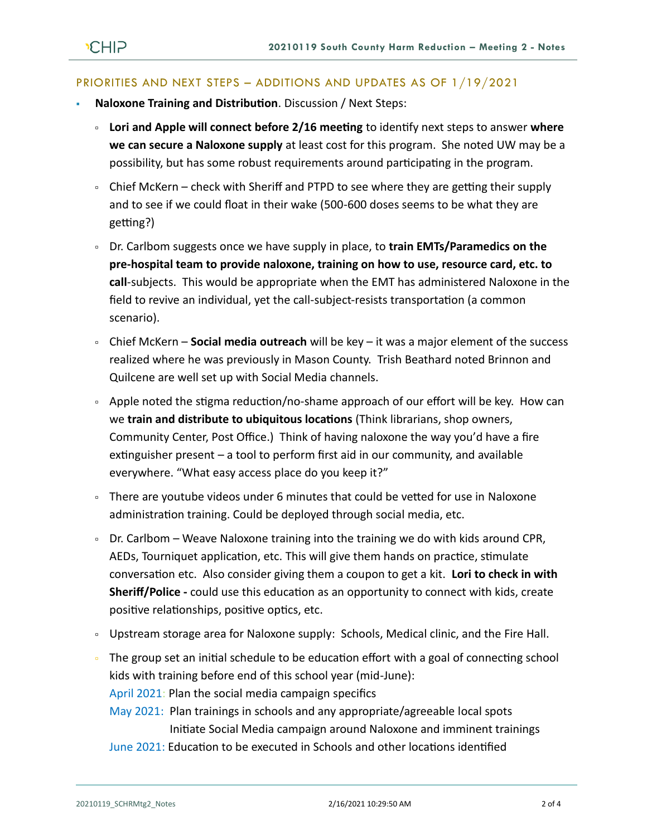## PRIORITIES AND NEXT STEPS – ADDITIONS AND UPDATES AS OF 1/19/2021

- **Naloxone Training and Distribution**. Discussion / Next Steps:
	- **Lori and Apple will connect before 2/16 meeting** to identify next steps to answer **where we can secure a Naloxone supply** at least cost for this program. She noted UW may be a possibility, but has some robust requirements around participating in the program.
	- Chief McKern check with Sheriff and PTPD to see where they are getting their supply and to see if we could float in their wake (500-600 doses seems to be what they are getting?)
	- Dr. Carlbom suggests once we have supply in place, to **train EMTs/Paramedics on the pre-hospital team to provide naloxone, training on how to use, resource card, etc. to call**-subjects. This would be appropriate when the EMT has administered Naloxone in the field to revive an individual, yet the call-subject-resists transportation (a common scenario).
	- Chief McKern **Social media outreach** will be key it was a major element of the success realized where he was previously in Mason County. Trish Beathard noted Brinnon and Quilcene are well set up with Social Media channels.
	- Apple noted the stigma reduction/no-shame approach of our effort will be key. How can we **train and distribute to ubiquitous locations** (Think librarians, shop owners, Community Center, Post Office.) Think of having naloxone the way you'd have a fire extinguisher present – a tool to perform first aid in our community, and available everywhere. "What easy access place do you keep it?"
	- There are youtube videos under 6 minutes that could be vetted for use in Naloxone administration training. Could be deployed through social media, etc.
	- Dr. Carlbom Weave Naloxone training into the training we do with kids around CPR, AEDs, Tourniquet application, etc. This will give them hands on practice, stimulate conversation etc. Also consider giving them a coupon to get a kit. **Lori to check in with Sheriff/Police -** could use this education as an opportunity to connect with kids, create positive relationships, positive optics, etc.
	- Dipstream storage area for Naloxone supply: Schools, Medical clinic, and the Fire Hall.
	- The group set an initial schedule to be education effort with a goal of connecting school kids with training before end of this school year (mid-June): April 2021: Plan the social media campaign specifics
		- May 2021: Plan trainings in schools and any appropriate/agreeable local spots Initiate Social Media campaign around Naloxone and imminent trainings
		- June 2021: Education to be executed in Schools and other locations identified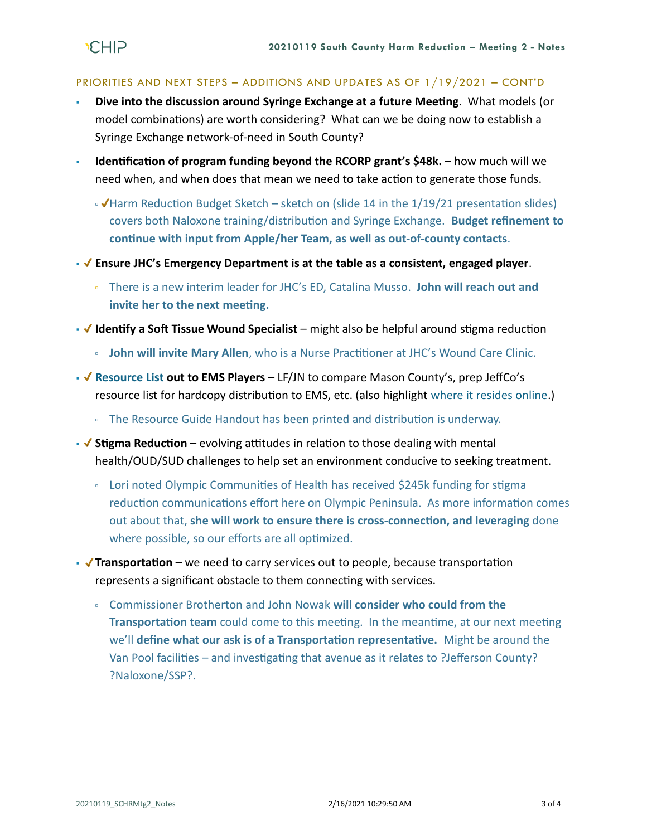## PRIORITIES AND NEXT STEPS – ADDITIONS AND UPDATES AS OF 1/19/2021 – CONT'D

- **Dive into the discussion around Syringe Exchange at a future Meeting**. What models (or model combinations) are worth considering? What can we be doing now to establish a Syringe Exchange network-of-need in South County?
- **Identification of program funding beyond the RCORP grant's \$48k.** how much will we need when, and when does that mean we need to take action to generate those funds.
	- Harm Reduction Budget Sketch sketch on (slide 14 in the 1/19/21 presentation slides) covers both Naloxone training/distribution and Syringe Exchange. **Budget refinement to continue with input from Apple/her Team, as well as out-of-county contacts**.
- **Ensure JHC's Emergency Department is at the table as a consistent, engaged player**.
	- There is a new interim leader for JHC's ED, Catalina Musso. **John will reach out and invite her to the next meeting.**
- **√ Identify a Soft Tissue Wound Specialist** might also be helpful around stigma reduction
	- **John will invite Mary Allen**, who is a Nurse Practitioner at JHC's Wound Care Clinic.
- ◆ [Resource List](https://www.behealthyjefferson.com/community-resources-1) out to EMS Players LF/JN to compare Mason County's, prep JeffCo's resource list for hardcopy distribution to EMS, etc. (also highlight [where it resides online.](https://www.behealthyjefferson.com/community-resources-1))
	- The Resource Guide Handout has been printed and distribution is underway.
- **V** Stigma Reduction evolving attitudes in relation to those dealing with mental health/OUD/SUD challenges to help set an environment conducive to seeking treatment.
	- Lori noted Olympic Communities of Health has received \$245k funding for stigma reduction communications effort here on Olympic Peninsula. As more information comes out about that, **she will work to ensure there is cross-connection, and leveraging** done where possible, so our efforts are all optimized.
- **√ Transportation** we need to carry services out to people, because transportation represents a significant obstacle to them connecting with services.
	- Commissioner Brotherton and John Nowak **will consider who could from the Transportation team** could come to this meeting. In the meantime, at our next meeting we'll **define what our ask is of a Transportation representative.** Might be around the Van Pool facilities – and investigating that avenue as it relates to ?Jefferson County? ?Naloxone/SSP?.